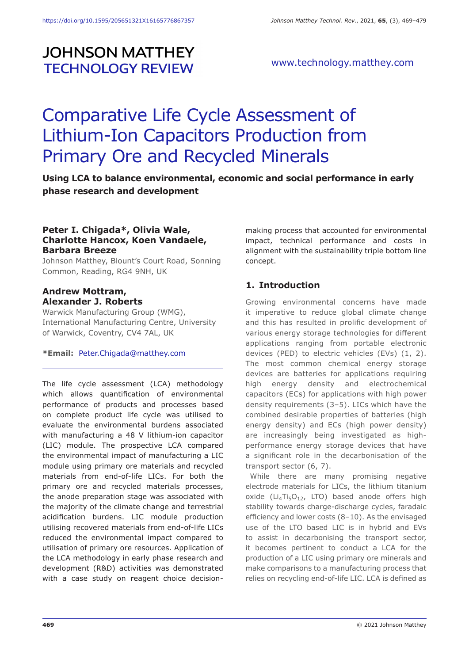## **JOHNSON MATTHEY TECHNOLOGY REVIEW**

### www.technology.matthey.com

# Comparative Life Cycle Assessment of Lithium-Ion Capacitors Production from Primary Ore and Recycled Minerals

**Using LCA to balance environmental, economic and social performance in early phase research and development** 

#### **Peter I. Chigada\*, Olivia Wale, Charlotte Hancox, Koen Vandaele, Barbara Breeze**

Johnson Matthey, Blount's Court Road, Sonning Common, Reading, RG4 9NH, UK

#### **Andrew Mottram, Alexander J. Roberts**

Warwick Manufacturing Group (WMG), International Manufacturing Centre, University of Warwick, Coventry, CV4 7AL, UK

#### **\*Email:** Peter.Chigada@matthey.com

The life cycle assessment (LCA) methodology which allows quantification of environmental performance of products and processes based on complete product life cycle was utilised to evaluate the environmental burdens associated with manufacturing a 48 V lithium-ion capacitor (LIC) module. The prospective LCA compared the environmental impact of manufacturing a LIC module using primary ore materials and recycled materials from end-of-life LICs. For both the primary ore and recycled materials processes, the anode preparation stage was associated with the majority of the climate change and terrestrial acidification burdens. LIC module production utilising recovered materials from end-of-life LICs reduced the environmental impact compared to utilisation of primary ore resources. Application of the LCA methodology in early phase research and development (R&D) activities was demonstrated with a case study on reagent choice decisionmaking process that accounted for environmental impact, technical performance and costs in alignment with the sustainability triple bottom line concept.

### **1. Introduction**

Growing environmental concerns have made it imperative to reduce global climate change and this has resulted in prolific development of various energy storage technologies for different applications ranging from portable electronic devices (PED) to electric vehicles (EVs) (1, 2). The most common chemical energy storage devices are batteries for applications requiring high energy density and electrochemical capacitors (ECs) for applications with high power density requirements (3–5). LICs which have the combined desirable properties of batteries (high energy density) and ECs (high power density) are increasingly being investigated as highperformance energy storage devices that have a significant role in the decarbonisation of the transport sector (6, 7).

While there are many promising negative electrode materials for LICs, the lithium titanium oxide ( $Li_4Ti_5O_{12}$ , LTO) based anode offers high stability towards charge-discharge cycles, faradaic efficiency and lower costs (8–10). As the envisaged use of the LTO based LIC is in hybrid and EVs to assist in decarbonising the transport sector, it becomes pertinent to conduct a LCA for the production of a LIC using primary ore minerals and make comparisons to a manufacturing process that relies on recycling end-of-life LIC. LCA is defined as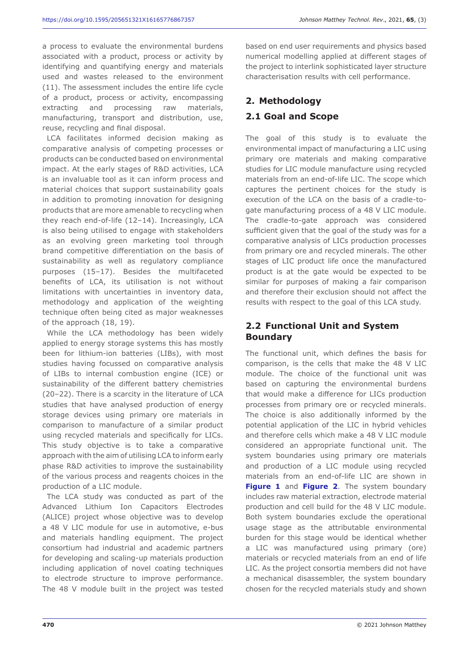a process to evaluate the environmental burdens associated with a product, process or activity by identifying and quantifying energy and materials used and wastes released to the environment (11). The assessment includes the entire life cycle of a product, process or activity, encompassing extracting and processing raw materials, manufacturing, transport and distribution, use, reuse, recycling and final disposal.

LCA facilitates informed decision making as comparative analysis of competing processes or products can be conducted based on environmental impact. At the early stages of R&D activities, LCA is an invaluable tool as it can inform process and material choices that support sustainability goals in addition to promoting innovation for designing products that are more amenable to recycling when they reach end-of-life (12–14). Increasingly, LCA is also being utilised to engage with stakeholders as an evolving green marketing tool through brand competitive differentiation on the basis of sustainability as well as regulatory compliance purposes (15–17). Besides the multifaceted benefits of LCA, its utilisation is not without limitations with uncertainties in inventory data, methodology and application of the weighting technique often being cited as major weaknesses of the approach (18, 19).

While the LCA methodology has been widely applied to energy storage systems this has mostly been for lithium-ion batteries (LIBs), with most studies having focussed on comparative analysis of LIBs to internal combustion engine (ICE) or sustainability of the different battery chemistries (20–22). There is a scarcity in the literature of LCA studies that have analysed production of energy storage devices using primary ore materials in comparison to manufacture of a similar product using recycled materials and specifically for LICs. This study objective is to take a comparative approach with the aim of utilising LCA to inform early phase R&D activities to improve the sustainability of the various process and reagents choices in the production of a LIC module.

The LCA study was conducted as part of the Advanced Lithium Ion Capacitors Electrodes (ALICE) project whose objective was to develop a 48 V LIC module for use in automotive, e-bus and materials handling equipment. The project consortium had industrial and academic partners for developing and scaling-up materials production including application of novel coating techniques to electrode structure to improve performance. The 48 V module built in the project was tested

based on end user requirements and physics based numerical modelling applied at different stages of the project to interlink sophisticated layer structure characterisation results with cell performance.

## **2. Methodology**

## **2.1 Goal and Scope**

The goal of this study is to evaluate the environmental impact of manufacturing a LIC using primary ore materials and making comparative studies for LIC module manufacture using recycled materials from an end-of-life LIC. The scope which captures the pertinent choices for the study is execution of the LCA on the basis of a cradle-togate manufacturing process of a 48 V LIC module. The cradle-to-gate approach was considered sufficient given that the goal of the study was for a comparative analysis of LICs production processes from primary ore and recycled minerals. The other stages of LIC product life once the manufactured product is at the gate would be expected to be similar for purposes of making a fair comparison and therefore their exclusion should not affect the results with respect to the goal of this LCA study.

## **2.2 Functional Unit and System Boundary**

The functional unit, which defines the basis for comparison, is the cells that make the 48 V LIC module. The choice of the functional unit was based on capturing the environmental burdens that would make a difference for LICs production processes from primary ore or recycled minerals. The choice is also additionally informed by the potential application of the LIC in hybrid vehicles and therefore cells which make a 48 V LIC module considered an appropriate functional unit. The system boundaries using primary ore materials and production of a LIC module using recycled materials from an end-of-life LIC are shown in **Figure 1** and **Figure 2**. The system boundary includes raw material extraction, electrode material production and cell build for the 48 V LIC module. Both system boundaries exclude the operational usage stage as the attributable environmental burden for this stage would be identical whether a LIC was manufactured using primary (ore) materials or recycled materials from an end of life LIC. As the project consortia members did not have a mechanical disassembler, the system boundary chosen for the recycled materials study and shown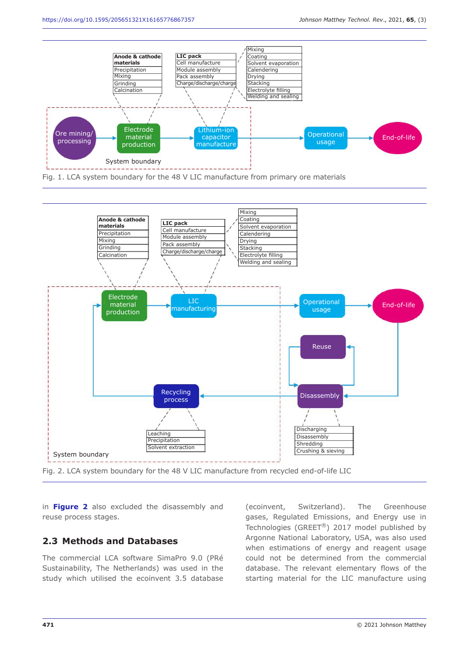

Fig. 1. LCA system boundary for the 48 V LIC manufacture from primary ore materials





in **Figure 2** also excluded the disassembly and reuse process stages.

#### **2.3 Methods and Databases**

The commercial LCA software SimaPro 9.0 (PRé Sustainability, The Netherlands) was used in the study which utilised the ecoinvent 3.5 database (ecoinvent, Switzerland). The Greenhouse gases, Regulated Emissions, and Energy use in Technologies (GREET®) 2017 model published by Argonne National Laboratory, USA, was also used when estimations of energy and reagent usage could not be determined from the commercial database. The relevant elementary flows of the starting material for the LIC manufacture using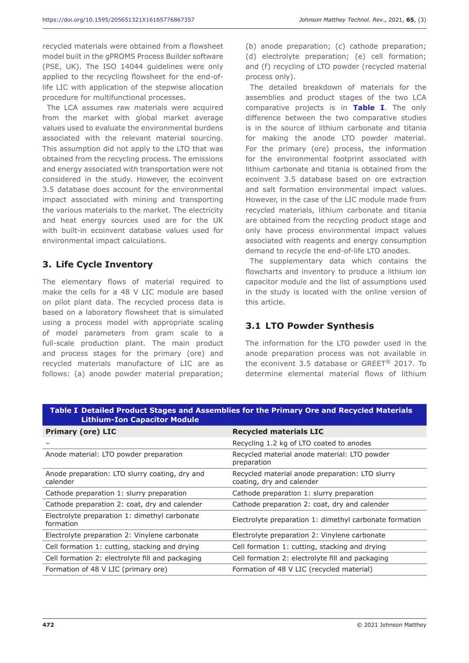recycled materials were obtained from a flowsheet model built in the gPROMS Process Builder software (PSE, UK). The ISO 14044 guidelines were only applied to the recycling flowsheet for the end-oflife LIC with application of the stepwise allocation procedure for multifunctional processes.

The LCA assumes raw materials were acquired from the market with global market average values used to evaluate the environmental burdens associated with the relevant material sourcing. This assumption did not apply to the LTO that was obtained from the recycling process. The emissions and energy associated with transportation were not considered in the study. However, the ecoinvent 3.5 database does account for the environmental impact associated with mining and transporting the various materials to the market. The electricity and heat energy sources used are for the UK with built-in ecoinvent database values used for environmental impact calculations.

#### **3. Life Cycle Inventory**

The elementary flows of material required to make the cells for a 48 V LIC module are based on pilot plant data. The recycled process data is based on a laboratory flowsheet that is simulated using a process model with appropriate scaling of model parameters from gram scale to a full-scale production plant. The main product and process stages for the primary (ore) and recycled materials manufacture of LIC are as follows: (a) anode powder material preparation;

(b) anode preparation; (c) cathode preparation; (d) electrolyte preparation; (e) cell formation; and (f) recycling of LTO powder (recycled material process only).

The detailed breakdown of materials for the assemblies and product stages of the two LCA comparative projects is in **Table I**. The only difference between the two comparative studies is in the source of lithium carbonate and titania for making the anode LTO powder material. For the primary (ore) process, the information for the environmental footprint associated with lithium carbonate and titania is obtained from the ecoinvent 3.5 database based on ore extraction and salt formation environmental impact values. However, in the case of the LIC module made from recycled materials, lithium carbonate and titania are obtained from the recycling product stage and only have process environmental impact values associated with reagents and energy consumption demand to recycle the end-of-life LTO anodes.

The supplementary data which contains the flowcharts and inventory to produce a lithium ion capacitor module and the list of assumptions used in the study is located with the online version of this article.

## **3.1 LTO Powder Synthesis**

The information for the LTO powder used in the anode preparation process was not available in the econivent 3.5 database or GREET® 2017. To determine elemental material flows of lithium

| <b>Lithium-Ion Capacitor Module</b>                        |                                                                              |
|------------------------------------------------------------|------------------------------------------------------------------------------|
| <b>Primary (ore) LIC</b>                                   | <b>Recycled materials LIC</b>                                                |
|                                                            | Recycling 1.2 kg of LTO coated to anodes                                     |
| Anode material: LTO powder preparation                     | Recycled material anode material: LTO powder<br>preparation                  |
| Anode preparation: LTO slurry coating, dry and<br>calender | Recycled material anode preparation: LTO slurry<br>coating, dry and calender |
| Cathode preparation 1: slurry preparation                  | Cathode preparation 1: slurry preparation                                    |
| Cathode preparation 2: coat, dry and calender              | Cathode preparation 2: coat, dry and calender                                |
| Electrolyte preparation 1: dimethyl carbonate<br>formation | Electrolyte preparation 1: dimethyl carbonate formation                      |
| Electrolyte preparation 2: Vinylene carbonate              | Electrolyte preparation 2: Vinylene carbonate                                |
| Cell formation 1: cutting, stacking and drying             | Cell formation 1: cutting, stacking and drying                               |
| Cell formation 2: electrolyte fill and packaging           | Cell formation 2: electrolyte fill and packaging                             |
| Formation of 48 V LIC (primary ore)                        | Formation of 48 V LIC (recycled material)                                    |

**Table I Detailed Product Stages and Assemblies for the Primary Ore and Recycled Materials**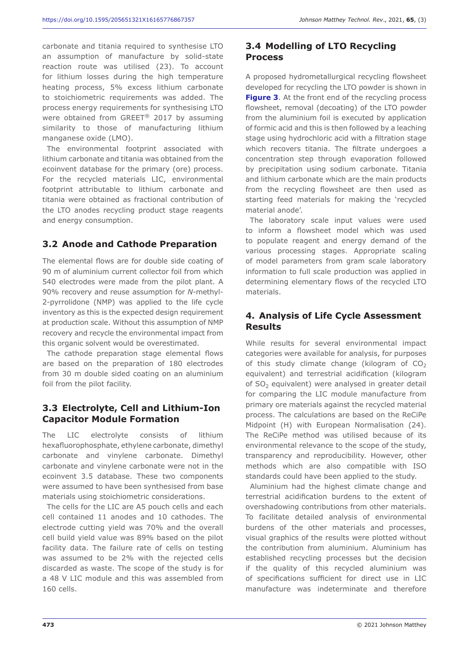carbonate and titania required to synthesise LTO an assumption of manufacture by solid-state reaction route was utilised (23). To account for lithium losses during the high temperature heating process, 5% excess lithium carbonate to stoichiometric requirements was added. The process energy requirements for synthesising LTO were obtained from GREET® 2017 by assuming similarity to those of manufacturing lithium manganese oxide (LMO).

The environmental footprint associated with lithium carbonate and titania was obtained from the ecoinvent database for the primary (ore) process. For the recycled materials LIC, environmental footprint attributable to lithium carbonate and titania were obtained as fractional contribution of the LTO anodes recycling product stage reagents and energy consumption.

### **3.2 Anode and Cathode Preparation**

The elemental flows are for double side coating of 90 m of aluminium current collector foil from which 540 electrodes were made from the pilot plant. A 90% recovery and reuse assumption for *N*-methyl-2-pyrrolidone (NMP) was applied to the life cycle inventory as this is the expected design requirement at production scale. Without this assumption of NMP recovery and recycle the environmental impact from this organic solvent would be overestimated.

The cathode preparation stage elemental flows are based on the preparation of 180 electrodes from 30 m double sided coating on an aluminium foil from the pilot facility.

#### **3.3 Electrolyte, Cell and Lithium-Ion Capacitor Module Formation**

The LIC electrolyte consists of lithium hexafluorophosphate, ethylene carbonate, dimethyl carbonate and vinylene carbonate. Dimethyl carbonate and vinylene carbonate were not in the ecoinvent 3.5 database. These two components were assumed to have been synthesised from base materials using stoichiometric considerations.

The cells for the LIC are A5 pouch cells and each cell contained 11 anodes and 10 cathodes. The electrode cutting yield was 70% and the overall cell build yield value was 89% based on the pilot facility data. The failure rate of cells on testing was assumed to be 2% with the rejected cells discarded as waste. The scope of the study is for a 48 V LIC module and this was assembled from 160 cells.

## **3.4 Modelling of LTO Recycling Process**

A proposed hydrometallurgical recycling flowsheet developed for recycling the LTO powder is shown in **Figure 3.** At the front end of the recycling process flowsheet, removal (decoating) of the LTO powder from the aluminium foil is executed by application of formic acid and this is then followed by a leaching stage using hydrochloric acid with a filtration stage which recovers titania. The filtrate undergoes a concentration step through evaporation followed by precipitation using sodium carbonate. Titania and lithium carbonate which are the main products from the recycling flowsheet are then used as starting feed materials for making the 'recycled material anode'.

The laboratory scale input values were used to inform a flowsheet model which was used to populate reagent and energy demand of the various processing stages. Appropriate scaling of model parameters from gram scale laboratory information to full scale production was applied in determining elementary flows of the recycled LTO materials.

### **4. Analysis of Life Cycle Assessment Results**

While results for several environmental impact categories were available for analysis, for purposes of this study climate change (kilogram of  $CO<sub>2</sub>$ equivalent) and terrestrial acidification (kilogram of  $SO<sub>2</sub>$  equivalent) were analysed in greater detail for comparing the LIC module manufacture from primary ore materials against the recycled material process. The calculations are based on the ReCiPe Midpoint (H) with European Normalisation (24). The ReCiPe method was utilised because of its environmental relevance to the scope of the study, transparency and reproducibility. However, other methods which are also compatible with ISO standards could have been applied to the study.

Aluminium had the highest climate change and terrestrial acidification burdens to the extent of overshadowing contributions from other materials. To facilitate detailed analysis of environmental burdens of the other materials and processes, visual graphics of the results were plotted without the contribution from aluminium. Aluminium has established recycling processes but the decision if the quality of this recycled aluminium was of specifications sufficient for direct use in LIC manufacture was indeterminate and therefore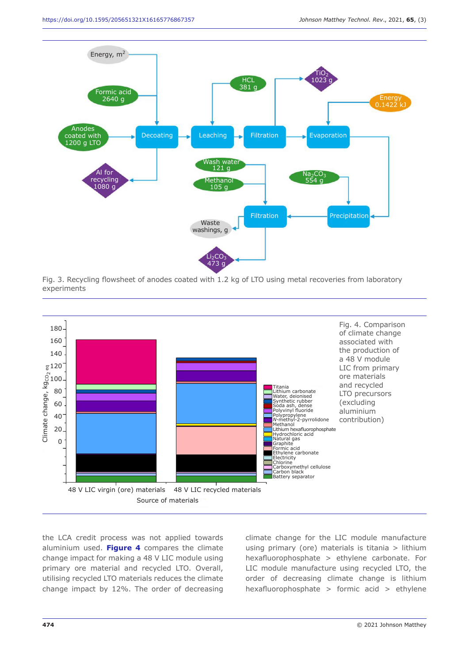

Fig. 3. Recycling flowsheet of anodes coated with 1.2 kg of LTO using metal recoveries from laboratory experiments



the LCA credit process was not applied towards aluminium used. **Figure 4** compares the climate change impact for making a 48 V LIC module using primary ore material and recycled LTO. Overall, utilising recycled LTO materials reduces the climate change impact by 12%. The order of decreasing climate change for the LIC module manufacture using primary (ore) materials is titania > lithium hexafluorophosphate > ethylene carbonate. For LIC module manufacture using recycled LTO, the order of decreasing climate change is lithium hexafluorophosphate > formic acid > ethylene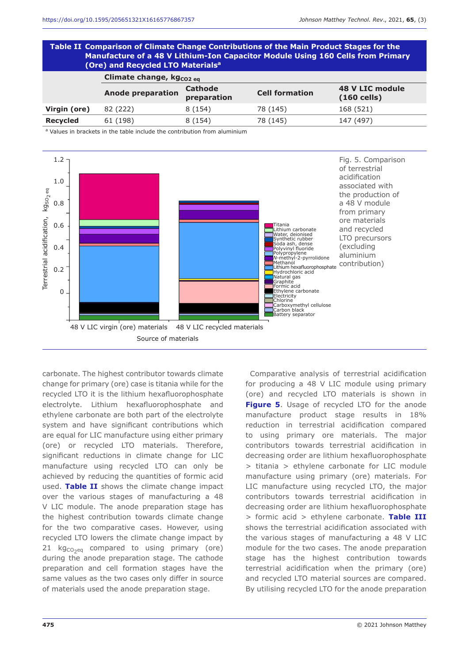#### **Table II Comparison of Climate Change Contributions of the Main Product Stages for the Manufacture of a 48 V Lithium-Ion Capacitor Module Using 160 Cells from Primary (Ore) and Recycled LTO Materialsa**

|                 | Climate change, kg <sub>co2 eq</sub> |                               |                       |                                  |  |  |
|-----------------|--------------------------------------|-------------------------------|-----------------------|----------------------------------|--|--|
|                 | <b>Anode preparation</b>             | <b>Cathode</b><br>preparation | <b>Cell formation</b> | 48 V LIC module<br>$(160$ cells) |  |  |
| Virgin (ore)    | 82 (222)                             | 8 (154)                       | 78 (145)              | 168 (521)                        |  |  |
| <b>Recycled</b> | 61 (198)                             | 8(154)                        | 78 (145)              | 147 (497)                        |  |  |

a Values in brackets in the table include the contribution from aluminium



carbonate. The highest contributor towards climate change for primary (ore) case is titania while for the recycled LTO it is the lithium hexafluorophosphate electrolyte. Lithium hexafluorophosphate and ethylene carbonate are both part of the electrolyte system and have significant contributions which are equal for LIC manufacture using either primary (ore) or recycled LTO materials. Therefore, significant reductions in climate change for LIC manufacture using recycled LTO can only be achieved by reducing the quantities of formic acid used. **Table II** shows the climate change impact over the various stages of manufacturing a 48 V LIC module. The anode preparation stage has the highest contribution towards climate change for the two comparative cases. However, using recycled LTO lowers the climate change impact by 21  $kg<sub>CO2eq</sub>$  compared to using primary (ore) during the anode preparation stage. The cathode preparation and cell formation stages have the same values as the two cases only differ in source of materials used the anode preparation stage.

Comparative analysis of terrestrial acidification for producing a 48 V LIC module using primary (ore) and recycled LTO materials is shown in **Figure 5.** Usage of recycled LTO for the anode manufacture product stage results in 18% reduction in terrestrial acidification compared to using primary ore materials. The major contributors towards terrestrial acidification in decreasing order are lithium hexafluorophosphate > titania > ethylene carbonate for LIC module manufacture using primary (ore) materials. For LIC manufacture using recycled LTO, the major contributors towards terrestrial acidification in decreasing order are lithium hexafluorophosphate > formic acid > ethylene carbonate. **Table III** shows the terrestrial acidification associated with the various stages of manufacturing a 48 V LIC module for the two cases. The anode preparation stage has the highest contribution towards terrestrial acidification when the primary (ore) and recycled LTO material sources are compared. By utilising recycled LTO for the anode preparation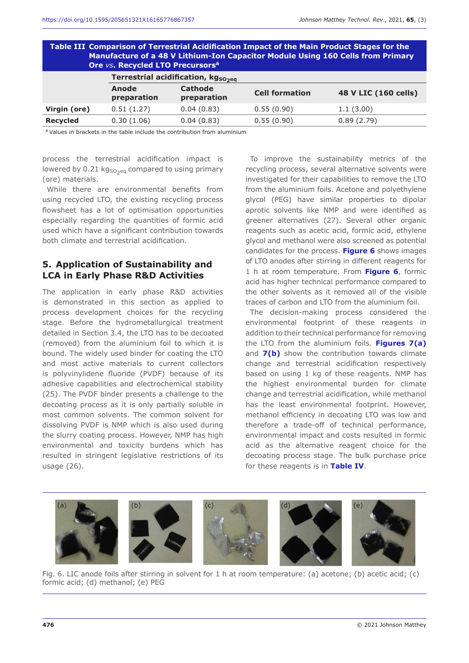| Table III  Comparison of Terrestrial Acidification Impact of the Main Product Stages for the<br>Manufacture of a 48 V Lithium-Ion Capacitor Module Using 160 Cells from Primary<br>Ore vs. Recycled LTO Precursors <sup>a</sup> |                                                |                               |                       |                      |  |  |  |
|---------------------------------------------------------------------------------------------------------------------------------------------------------------------------------------------------------------------------------|------------------------------------------------|-------------------------------|-----------------------|----------------------|--|--|--|
|                                                                                                                                                                                                                                 | Terrestrial acidification, kg <sub>SO2eg</sub> |                               |                       |                      |  |  |  |
|                                                                                                                                                                                                                                 | Anode<br>preparation                           | <b>Cathode</b><br>preparation | <b>Cell formation</b> | 48 V LIC (160 cells) |  |  |  |
| Virgin (ore)                                                                                                                                                                                                                    | 0.51(1.27)                                     | 0.04(0.83)                    | 0.55(0.90)            | 1.1(3.00)            |  |  |  |
| Recycled                                                                                                                                                                                                                        | 0.30(1.06)                                     | 0.04(0.83)                    | 0.55(0.90)            | 0.89(2.79)           |  |  |  |
|                                                                                                                                                                                                                                 |                                                |                               |                       |                      |  |  |  |

<sup>a</sup> Values in brackets in the table include the contribution from aluminium

process the terrestrial acidification impact is lowered by 0.21 kg $_{\text{SO}_2$ eq compared to using primary (ore) materials.

While there are environmental benefits from using recycled LTO, the existing recycling process flowsheet has a lot of optimisation opportunities especially regarding the quantities of formic acid used which have a significant contribution towards both climate and terrestrial acidification.

#### **5. Application of Sustainability and LCA in Early Phase R&D Activities**

The application in early phase R&D activities is demonstrated in this section as applied to process development choices for the recycling stage. Before the hydrometallurgical treatment detailed in Section 3.4, the LTO has to be decoated (removed) from the aluminium foil to which it is bound. The widely used binder for coating the LTO and most active materials to current collectors is polyvinylidene fluoride (PVDF) because of its adhesive capabilities and electrochemical stability (25). The PVDF binder presents a challenge to the decoating process as it is only partially soluble in most common solvents. The common solvent for dissolving PVDF is NMP which is also used during the slurry coating process. However, NMP has high environmental and toxicity burdens which has resulted in stringent legislative restrictions of its usage (26).

To improve the sustainability metrics of the recycling process, several alternative solvents were investigated for their capabilities to remove the LTO from the aluminium foils. Acetone and polyethylene glycol (PEG) have similar properties to dipolar aprotic solvents like NMP and were identified as greener alternatives (27). Several other organic reagents such as acetic acid, formic acid, ethylene glycol and methanol were also screened as potential candidates for the process. **Figure 6** shows images of LTO anodes after stirring in different reagents for 1 h at room temperature. From **Figure 6**, formic acid has higher technical performance compared to the other solvents as it removed all of the visible traces of carbon and LTO from the aluminium foil.

The decision-making process considered the environmental footprint of these reagents in addition to their technical performance for removing the LTO from the aluminium foils. **Figures 7(a)**  and **7(b)** show the contribution towards climate change and terrestrial acidification respectively based on using 1 kg of these reagents. NMP has the highest environmental burden for climate change and terrestrial acidification, while methanol has the least environmental footprint. However, methanol efficiency in decoating LTO was low and therefore a trade-off of technical performance, environmental impact and costs resulted in formic acid as the alternative reagent choice for the decoating process stage. The bulk purchase price for these reagents is in **Table IV**.



Fig. 6. LIC anode foils after stirring in solvent for 1 h at room temperature: (a) acetone; (b) acetic acid; (c) formic acid; (d) methanol; (e) PEG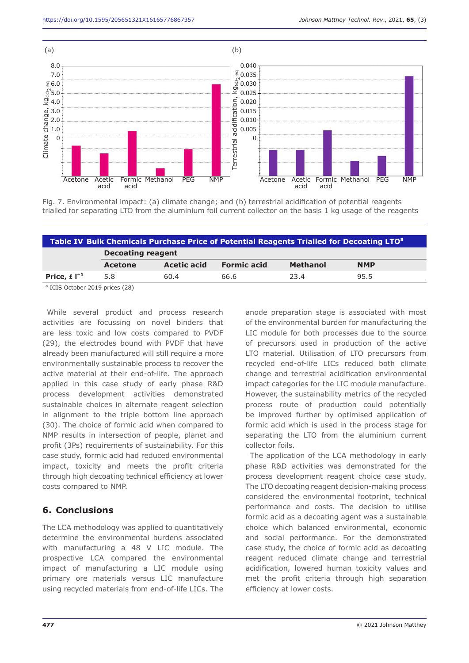

Fig. 7. Environmental impact: (a) climate change; and (b) terrestrial acidification of potential reagents trialled for separating LTO from the aluminium foil current collector on the basis 1 kg usage of the reagents

| Table IV Bulk Chemicals Purchase Price of Potential Reagents Trialled for Decoating LTO <sup>a</sup> |         |             |                    |                 |            |  |
|------------------------------------------------------------------------------------------------------|---------|-------------|--------------------|-----------------|------------|--|
| <b>Decoating reagent</b>                                                                             |         |             |                    |                 |            |  |
|                                                                                                      | Acetone | Acetic acid | <b>Formic acid</b> | <b>Methanol</b> | <b>NMP</b> |  |
| Price, $\pm 1^{-1}$                                                                                  | 5.8     | 60.4        | 66.6               | 23.4            | 95.5       |  |

a ICIS October 2019 prices (28)

While several product and process research activities are focussing on novel binders that are less toxic and low costs compared to PVDF (29), the electrodes bound with PVDF that have already been manufactured will still require a more environmentally sustainable process to recover the active material at their end-of-life. The approach applied in this case study of early phase R&D process development activities demonstrated sustainable choices in alternate reagent selection in alignment to the triple bottom line approach (30). The choice of formic acid when compared to NMP results in intersection of people, planet and profit (3Ps) requirements of sustainability. For this case study, formic acid had reduced environmental impact, toxicity and meets the profit criteria through high decoating technical efficiency at lower costs compared to NMP.

## **6. Conclusions**

The LCA methodology was applied to quantitatively determine the environmental burdens associated with manufacturing a 48 V LIC module. The prospective LCA compared the environmental impact of manufacturing a LIC module using primary ore materials versus LIC manufacture using recycled materials from end-of-life LICs. The anode preparation stage is associated with most of the environmental burden for manufacturing the LIC module for both processes due to the source of precursors used in production of the active LTO material. Utilisation of LTO precursors from recycled end-of-life LICs reduced both climate change and terrestrial acidification environmental impact categories for the LIC module manufacture. However, the sustainability metrics of the recycled process route of production could potentially be improved further by optimised application of formic acid which is used in the process stage for separating the LTO from the aluminium current collector foils.

The application of the LCA methodology in early phase R&D activities was demonstrated for the process development reagent choice case study. The LTO decoating reagent decision-making process considered the environmental footprint, technical performance and costs. The decision to utilise formic acid as a decoating agent was a sustainable choice which balanced environmental, economic and social performance. For the demonstrated case study, the choice of formic acid as decoating reagent reduced climate change and terrestrial acidification, lowered human toxicity values and met the profit criteria through high separation efficiency at lower costs.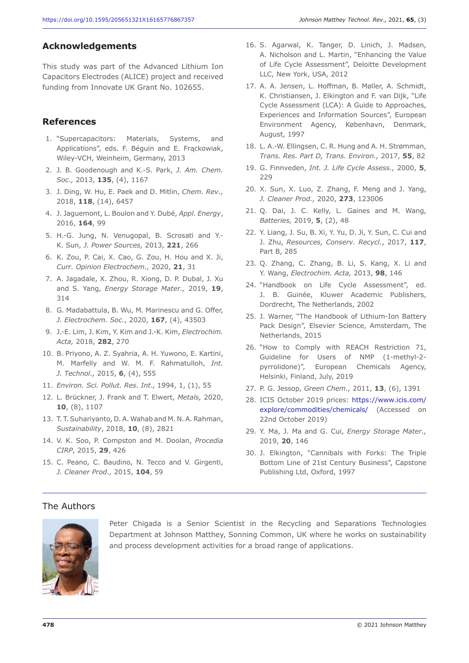#### **Acknowledgements**

This study was part of the Advanced Lithium Ion Capacitors Electrodes (ALICE) project and received funding from Innovate UK Grant No. 102655.

#### **References**

- 1. "Supercapacitors: Materials, Systems, and Applications", eds. F. Béguin and E. Frąckowiak, Wiley-VCH, Weinheim, Germany, 2013
- 2. J. B. Goodenough and K.-S. Park, *J. Am. Chem. Soc.,* 2013, **135**, (4), 1167
- 3. J. Ding, W. Hu, E. Paek and D. Mitlin, *Chem. Rev.,*  2018, **118**, (14), 6457
- 4. J. Jaguemont, L. Boulon and Y. Dubé, *Appl. Energy*, 2016, **164**, 99
- 5. H.-G. Jung, N. Venugopal, B. Scrosati and Y.- K. Sun, *J. Power Sources,* 2013, **221**, 266
- 6. K. Zou, P. Cai, X. Cao, G. Zou, H. Hou and X. Ji, *Curr. Opinion Electrochem.,* 2020, **21**, 31
- 7. A. Jagadale, X. Zhou, R. Xiong, D. P. Dubal, J. Xu and S. Yang, *Energy Storage Mater.,* 2019, **19**, 314
- 8. G. Madabattula, B. Wu, M. Marinescu and G. Offer, *J. Electrochem. Soc.*, 2020, **167**, (4), 43503
- 9. J.-E. Lim, J. Kim, Y. Kim and J.-K. Kim, *Electrochim. Acta,* 2018, **282**, 270
- 10. B. Priyono, A. Z. Syahria, A. H. Yuwono, E. Kartini, M. Marfelly and W. M. F. Rahmatulloh, *Int. J. Technol.,* 2015, **6**, (4), 555
- 11. *Environ. Sci. Pollut. Res. Int*., 1994, 1, (1), 55
- 12. L. Brückner, J. Frank and T. Elwert, *Metals,* 2020, **10**, (8), 1107
- 13. T. T. Suhariyanto, D. A. Wahab and M. N. A. Rahman, *Sustainability*, 2018, **10**, (8), 2821
- 14. V. K. Soo, P. Compston and M. Doolan, *Procedia CIRP*, 2015, **29**, 426
- 15. C. Peano, C. Baudino, N. Tecco and V. Girgenti, *J. Cleaner Prod.,* 2015, **104**, 59
- 16. S. Agarwal, K. Tanger, D. Linich, J. Madsen, A. Nicholson and L. Martin, "Enhancing the Value of Life Cycle Assessment", Deloitte Development LLC, New York, USA, 2012
- 17. A. A. Jensen, L. Hoffman, B. Møller, A. Schmidt, K. Christiansen, J. Elkington and F. van Dijk, "Life Cycle Assessment (LCA): A Guide to Approaches, Experiences and Information Sources", European Environment Agency, København, Denmark, August, 1997
- 18. L. A.-W. Ellingsen, C. R. Hung and A. H. Strømman, *Trans. Res. Part D, Trans. Environ.,* 2017, **55**, 82
- 19. G. Finnveden, *Int. J. Life Cycle Assess.,* 2000, **5**, 229
- 20. X. Sun, X. Luo, Z. Zhang, F. Meng and J. Yang, *J. Cleaner Prod.,* 2020, **273**, 123006
- 21. Q. Dai, J. C. Kelly, L. Gaines and M. Wang, *Batteries,* 2019, **5**, (2), 48
- 22. Y. Liang, J. Su, B. Xi, Y. Yu, D. Ji, Y. Sun, C. Cui and J. Zhu, *Resources, Conserv. Recycl.*, 2017, **117**, Part B, 285
- 23. Q. Zhang, C. Zhang, B. Li, S. Kang, X. Li and Y. Wang, *Electrochim. Acta,* 2013, **98**, 146
- 24. "Handbook on Life Cycle Assessment", ed. J. B. Guinée, Kluwer Academic Publishers, Dordrecht, The Netherlands, 2002
- 25. J. Warner, "The Handbook of Lithium-Ion Battery Pack Design", Elsevier Science, Amsterdam, The Netherlands, 2015
- 26. "How to Comply with REACH Restriction 71, Guideline for Users of NMP (1-methyl-2 pyrrolidone)", European Chemicals Agency, Helsinki, Finland, July, 2019
- 27. P. G. Jessop, *Green Chem.,* 2011, **13**, (6), 1391
- 28. ICIS October 2019 prices: https://www.icis.com/ explore/commodities/chemicals/ (Accessed on 22nd October 2019)
- 29. Y. Ma, J. Ma and G. Cui, *Energy Storage Mater.,*  2019, **20**, 146
- 30. J. Elkington, "Cannibals with Forks: The Triple Bottom Line of 21st Century Business", Capstone Publishing Ltd, Oxford, 1997

#### The Authors



Peter Chigada is a Senior Scientist in the Recycling and Separations Technologies Department at Johnson Matthey, Sonning Common, UK where he works on sustainability and process development activities for a broad range of applications.